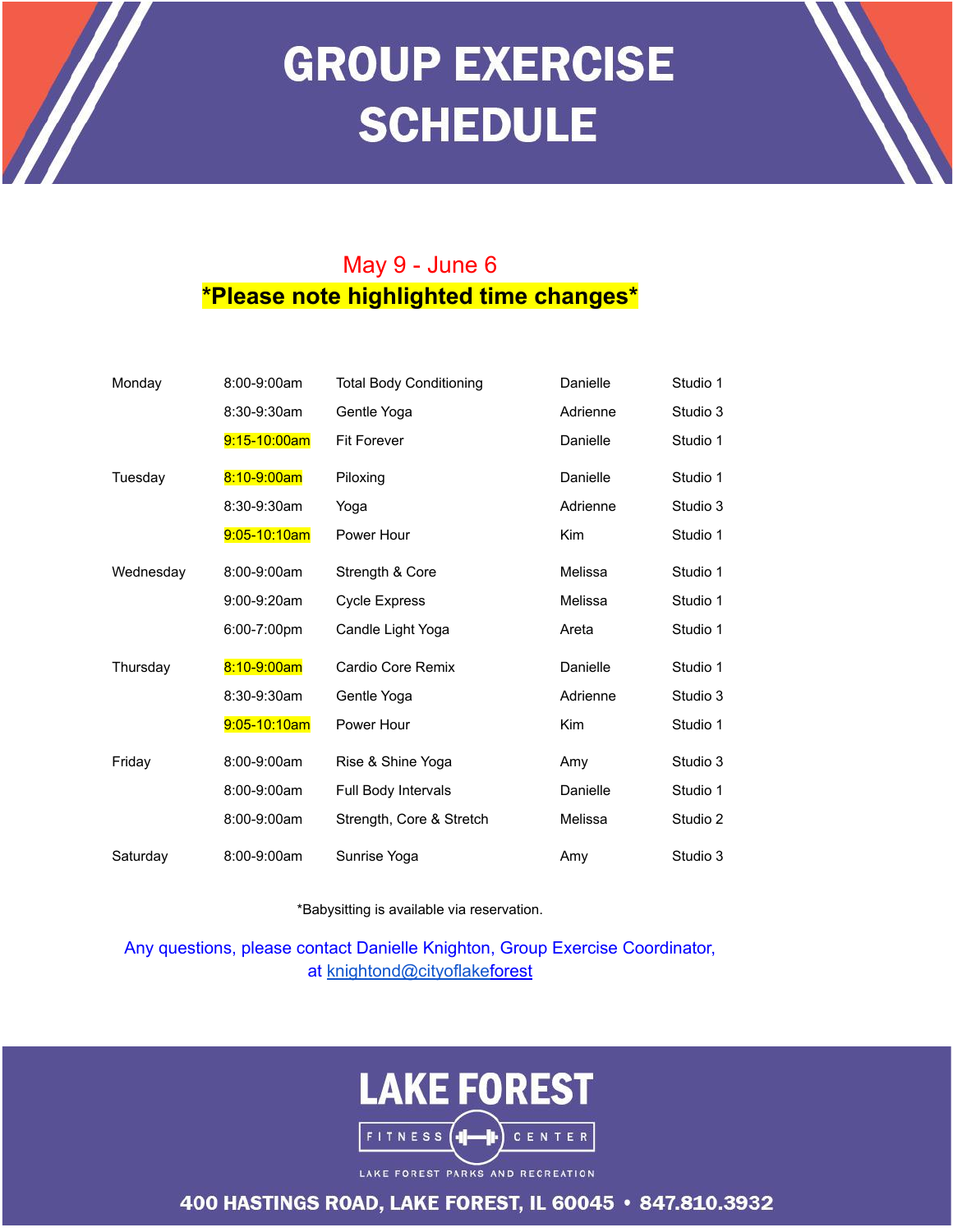## **GROUP EXERCISE SCHEDULE**

## May 9 - June 6 **\*Please note highlighted time changes\***

 $\mathscr{H}$ 

| Monday    | 8:00-9:00am  | <b>Total Body Conditioning</b> | Danielle   | Studio 1 |
|-----------|--------------|--------------------------------|------------|----------|
|           | 8:30-9:30am  | Gentle Yoga                    | Adrienne   | Studio 3 |
|           | 9:15-10:00am | <b>Fit Forever</b>             | Danielle   | Studio 1 |
| Tuesdav   | 8:10-9:00am  | Piloxing                       | Danielle   | Studio 1 |
|           | 8:30-9:30am  | Yoga                           | Adrienne   | Studio 3 |
|           | 9:05-10:10am | Power Hour                     | <b>Kim</b> | Studio 1 |
| Wednesday | 8:00-9:00am  | Strength & Core                | Melissa    | Studio 1 |
|           | 9:00-9:20am  | <b>Cycle Express</b>           | Melissa    | Studio 1 |
|           | 6:00-7:00pm  | Candle Light Yoga              | Areta      | Studio 1 |
| Thursday  | 8:10-9:00am  | Cardio Core Remix              | Danielle   | Studio 1 |
|           | 8:30-9:30am  | Gentle Yoga                    | Adrienne   | Studio 3 |
|           | 9:05-10:10am | Power Hour                     | <b>Kim</b> | Studio 1 |
| Friday    | 8:00-9:00am  | Rise & Shine Yoga              | Amy        | Studio 3 |
|           | 8:00-9:00am  | Full Body Intervals            | Danielle   | Studio 1 |
|           | 8:00-9:00am  | Strength, Core & Stretch       | Melissa    | Studio 2 |
| Saturday  | 8:00-9:00am  | Sunrise Yoga                   | Amy        | Studio 3 |

\*Babysitting is available via reservation.

Any questions, please contact Danielle Knighton, Group Exercise Coordinator, at [knightond@cityoflakef](mailto:knightond@cityoflakeforest.com)orest



LAKE FOREST PARKS AND RECREATION

400 HASTINGS ROAD, LAKE FOREST, IL 60045 · 847.810.3932